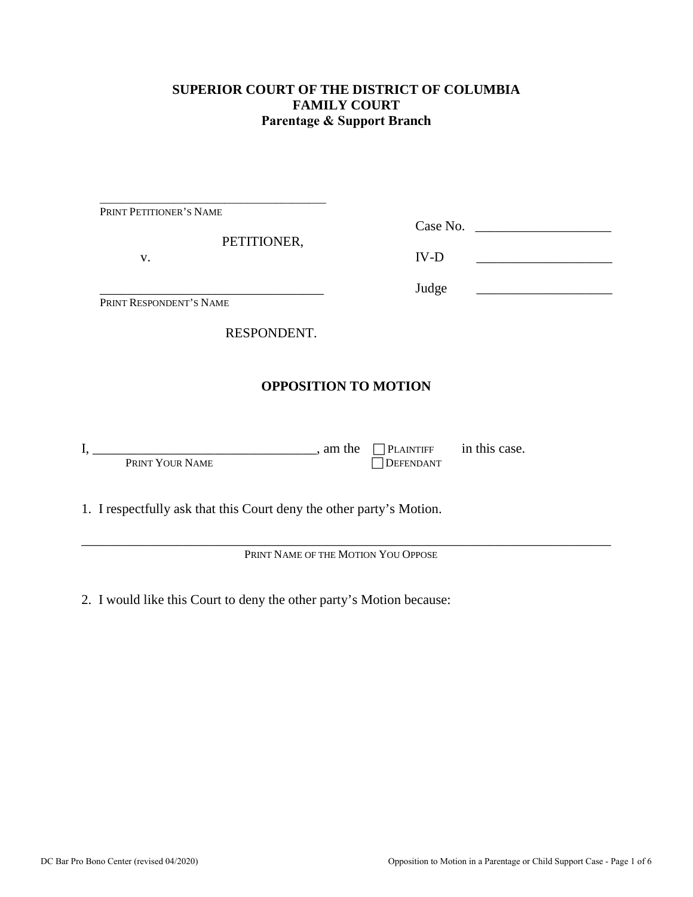### **SUPERIOR COURT OF THE DISTRICT OF COLUMBIA FAMILY COURT Parentage & Support Branch**

| PRINT PETITIONER'S NAME                                              |                                                                            |
|----------------------------------------------------------------------|----------------------------------------------------------------------------|
| PETITIONER,<br>V.                                                    | Case No.<br><u> 1980 - Jan Barbara Barbara, maskin politik (</u><br>$IV-D$ |
| PRINT RESPONDENT'S NAME                                              | Judge<br><u> 1989 - Johann Barbara, martxa alemaniar a</u>                 |
| RESPONDENT.                                                          |                                                                            |
|                                                                      | <b>OPPOSITION TO MOTION</b>                                                |
| $\frac{1}{2}$ , am the<br>PRINT YOUR NAME                            | $\Box$ PLAINTIFF in this case.<br>DEFENDANT                                |
| 1. I respectfully ask that this Court deny the other party's Motion. |                                                                            |
|                                                                      | PRINT NAME OF THE MOTION YOU OPPOSE                                        |

2. I would like this Court to deny the other party's Motion because: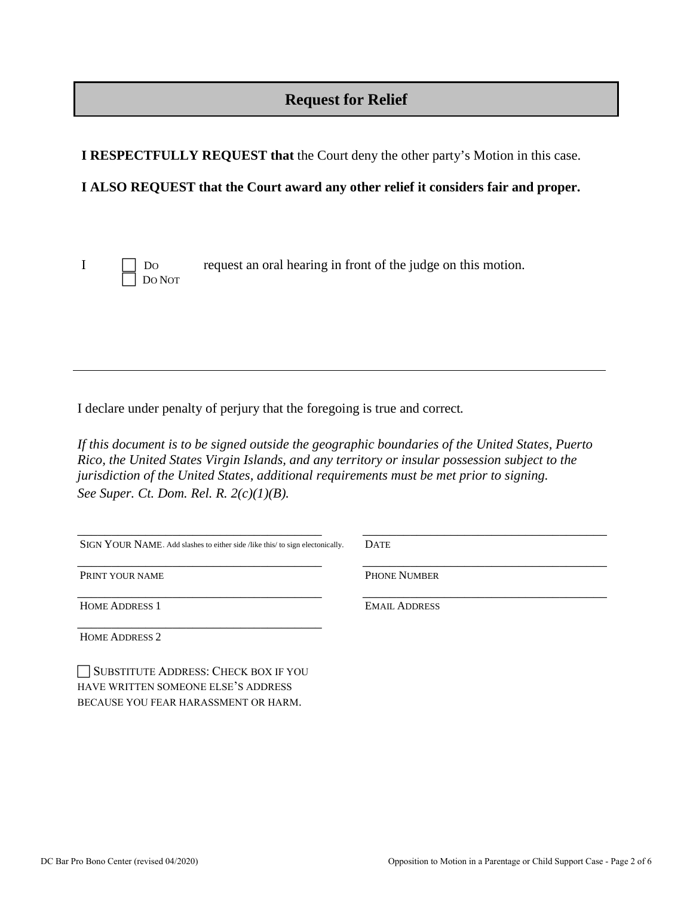# **Request for Relief**

**I RESPECTFULLY REQUEST that** the Court deny the other party's Motion in this case.

#### **I ALSO REQUEST that the Court award any other relief it considers fair and proper.**



I DO request an oral hearing in front of the judge on this motion.

I declare under penalty of perjury that the foregoing is true and correct*.* 

*If this document is to be signed outside the geographic boundaries of the United States, Puerto Rico, the United States Virgin Islands, and any territory or insular possession subject to the jurisdiction of the United States, additional requirements must be met prior to signing. See Super. Ct. Dom. Rel. R. 2(c)(1)(B).*

| <b>DATE</b>          |  |
|----------------------|--|
| <b>PHONE NUMBER</b>  |  |
| <b>EMAIL ADDRESS</b> |  |
|                      |  |
|                      |  |

 SUBSTITUTE ADDRESS: CHECK BOX IF YOU HAVE WRITTEN SOMEONE ELSE'S ADDRESS BECAUSE YOU FEAR HARASSMENT OR HARM.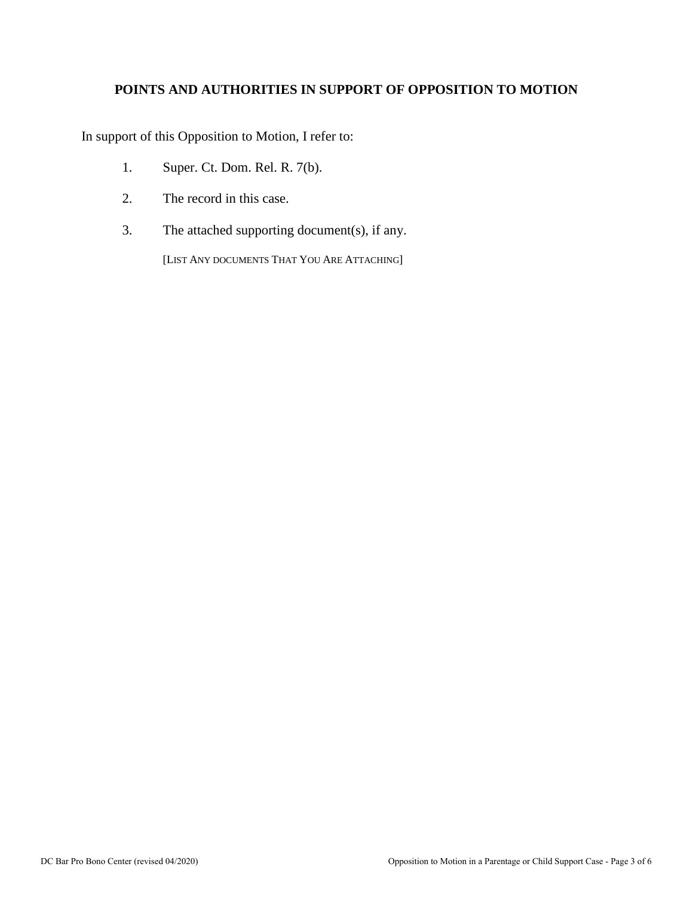## **POINTS AND AUTHORITIES IN SUPPORT OF OPPOSITION TO MOTION**

In support of this Opposition to Motion, I refer to:

- 1. Super. Ct. Dom. Rel. R. 7(b).
- 2. The record in this case.
- 3. The attached supporting document(s), if any.

[LIST ANY DOCUMENTS THAT YOU ARE ATTACHING]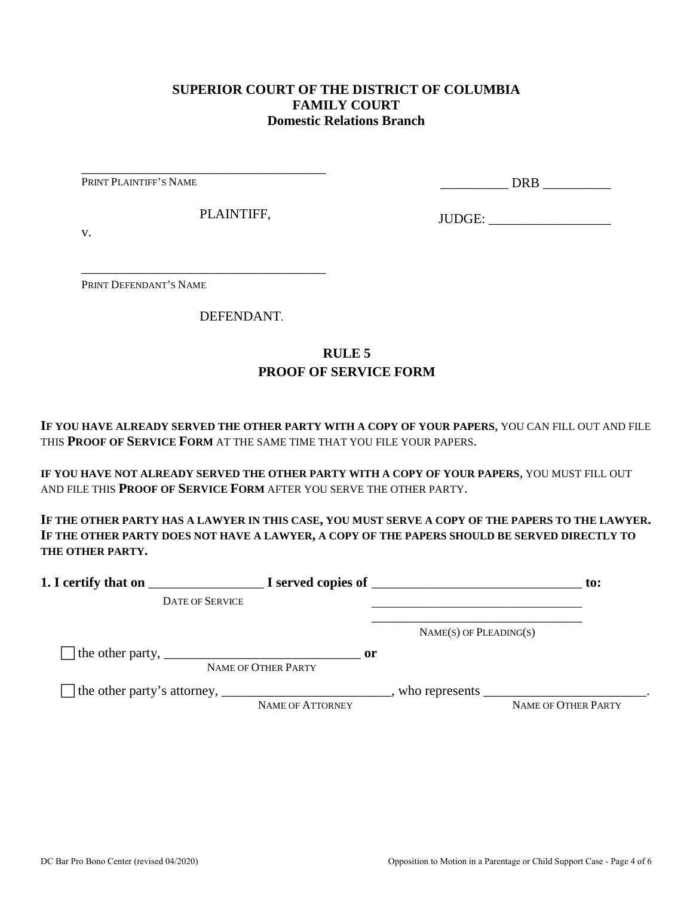#### **SUPERIOR COURT OF THE DISTRICT OF COLUMBIA FAMILY COURT Domestic Relations Branch**

PRINT PLAINTIFF'S NAME

\_\_\_\_\_\_\_\_\_\_ DRB \_\_\_\_\_\_\_\_\_\_

PLAINTIFF,

\_\_\_\_\_\_\_\_\_\_\_\_\_\_\_\_\_\_\_\_\_\_\_\_\_\_\_\_\_\_\_\_\_\_\_\_

\_\_\_\_\_\_\_\_\_\_\_\_\_\_\_\_\_\_\_\_\_\_\_\_\_\_\_\_\_\_\_\_\_\_\_\_

JUDGE: \_\_\_\_\_\_\_\_\_\_\_\_\_\_\_\_\_\_

v.

PRINT DEFENDANT'S NAME

DEFENDANT.

## **RULE 5 PROOF OF SERVICE FORM**

**IF YOU HAVE ALREADY SERVED THE OTHER PARTY WITH A COPY OF YOUR PAPERS**, YOU CAN FILL OUT AND FILE THIS **PROOF OF SERVICE FORM** AT THE SAME TIME THAT YOU FILE YOUR PAPERS.

**IF YOU HAVE NOT ALREADY SERVED THE OTHER PARTY WITH A COPY OF YOUR PAPERS**, YOU MUST FILL OUT AND FILE THIS **PROOF OF SERVICE FORM** AFTER YOU SERVE THE OTHER PARTY.

**IF THE OTHER PARTY HAS A LAWYER IN THIS CASE, YOU MUST SERVE A COPY OF THE PAPERS TO THE LAWYER. IF THE OTHER PARTY DOES NOT HAVE A LAWYER, A COPY OF THE PAPERS SHOULD BE SERVED DIRECTLY TO THE OTHER PARTY.** 

| 1. I certify that on                                                                                      |                                      | $\blacksquare$ $\blacksquare$ I served copies of $\blacksquare$ | $\mathbf{to}$ :     |
|-----------------------------------------------------------------------------------------------------------|--------------------------------------|-----------------------------------------------------------------|---------------------|
| <b>DATE OF SERVICE</b>                                                                                    |                                      |                                                                 |                     |
|                                                                                                           |                                      | $NAME(S)$ OF PLEADING(S)                                        |                     |
| The other party, $\frac{1}{\sqrt{1-\frac{1}{2}}}\left\lfloor \frac{1}{2}\right\rfloor$                    | $\mathbf{or}$<br>NAME OF OTHER PARTY |                                                                 |                     |
| The other party's attorney, _______________________________, who represents ____________________________. | NAME OF ATTORNEY                     |                                                                 | NAME OF OTHER PARTY |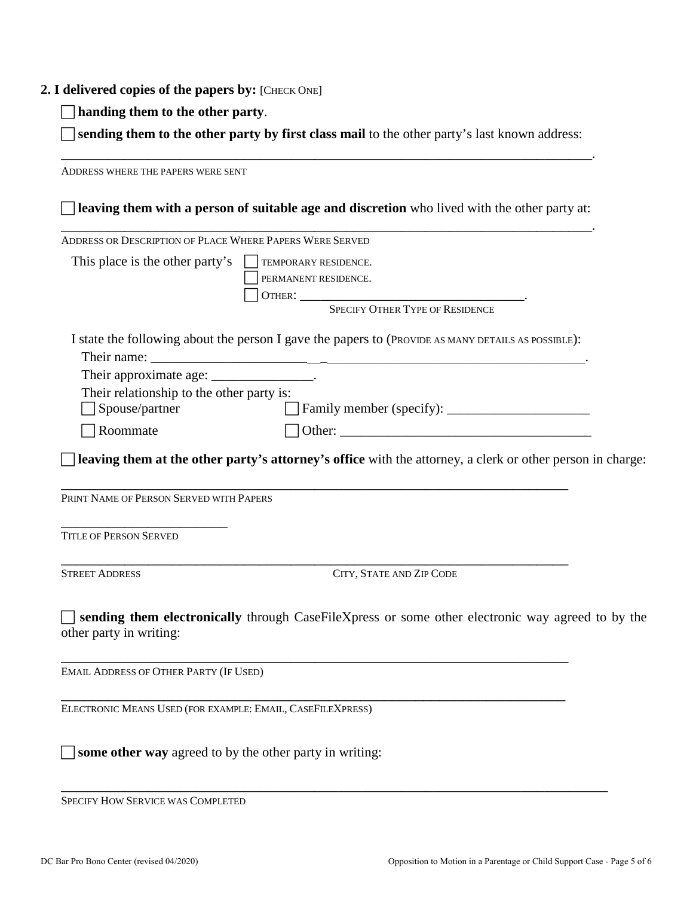#### **2. I delivered copies of the papers by:** [CHECK ONE]

**handing them to the other party**.

 **sending them to the other party by first class mail** to the other party's last known address: \_\_\_\_\_\_\_\_\_\_\_\_\_\_\_\_\_\_\_\_\_\_\_\_\_\_\_\_\_\_\_\_\_\_\_\_\_\_\_\_\_\_\_\_\_\_\_\_\_\_\_\_\_\_\_\_\_\_\_\_\_\_\_\_\_\_\_.

ADDRESS WHERE THE PAPERS WERE SENT **leaving them with a person of suitable age and discretion** who lived with the other party at: \_\_\_\_\_\_\_\_\_\_\_\_\_\_\_\_\_\_\_\_\_\_\_\_\_\_\_\_\_\_\_\_\_\_\_\_\_\_\_\_\_\_\_\_\_\_\_\_\_\_\_\_\_\_\_\_\_\_\_\_\_\_\_\_\_\_\_. ADDRESS OR DESCRIPTION OF PLACE WHERE PAPERS WERE SERVED This place is the other party's  $\Box$  TEMPORARY RESIDENCE. PERMANENT RESIDENCE. OTHER: \_\_\_\_\_\_\_\_\_\_\_\_\_\_\_\_\_\_\_\_\_\_\_\_\_\_\_\_\_\_\_\_\_. SPECIFY OTHER TYPE OF RESIDENCE I state the following about the person I gave the papers to (PROVIDE AS MANY DETAILS AS POSSIBLE): Their name: Their approximate age: \_\_\_\_\_\_\_\_\_\_\_\_\_\_\_\_. Their relationship to the other party is: □ Spouse/partner Family member (specify): \_\_\_\_\_\_\_\_\_\_\_\_\_\_\_\_\_\_\_\_\_\_\_\_\_\_  $\Box$  Roommate  $\Box$  Other: **leaving them at the other party's attorney's office** with the attorney, a clerk or other person in charge: \_\_\_\_\_\_\_\_\_\_\_\_\_\_\_\_\_\_\_\_\_\_\_\_\_\_\_\_\_\_\_\_\_\_\_\_\_\_\_\_\_\_\_\_\_\_\_\_\_\_\_\_\_\_\_\_\_\_\_\_\_\_\_\_ PRINT NAME OF PERSON SERVED WITH PAPERS \_\_\_\_\_\_\_\_\_\_\_\_\_\_\_\_\_\_\_\_\_ TITLE OF PERSON SERVED \_\_\_\_\_\_\_\_\_\_\_\_\_\_\_\_\_\_\_\_\_\_\_\_\_\_\_\_\_\_\_\_\_\_\_\_\_\_\_\_\_\_\_\_\_\_\_\_\_\_\_\_\_\_\_\_\_\_\_\_\_\_\_\_ STREET ADDRESS CITY, STATE AND ZIP CODE **sending them electronically** through CaseFileXpress or some other electronic way agreed to by the other party in writing: \_\_\_\_\_\_\_\_\_\_\_\_\_\_\_\_\_\_\_\_\_\_\_\_\_\_\_\_\_\_\_\_\_\_\_\_\_\_\_\_\_\_\_\_\_\_\_\_\_\_\_\_\_\_\_\_\_\_\_\_\_\_\_\_ EMAIL ADDRESS OF OTHER PARTY (IF USED) \_\_\_\_\_\_\_\_\_\_\_\_\_\_\_\_\_\_\_\_\_\_\_\_\_\_\_\_\_\_\_\_\_\_\_\_\_\_\_\_\_\_\_\_\_\_\_\_\_\_\_\_\_\_\_\_\_\_\_\_\_\_\_\_ ELECTRONIC MEANS USED (FOR EXAMPLE: EMAIL, CASEFILEXPRESS)  $\Box$  **some other way** agreed to by the other party in writing:

\_\_\_\_\_\_\_\_\_\_\_\_\_\_\_\_\_\_\_\_\_\_\_\_\_\_\_\_\_\_\_\_\_\_\_\_\_\_\_\_\_\_\_\_\_\_\_\_\_\_\_\_\_\_\_\_\_\_\_\_\_\_\_\_\_\_\_\_\_ SPECIFY HOW SERVICE WAS COMPLETED